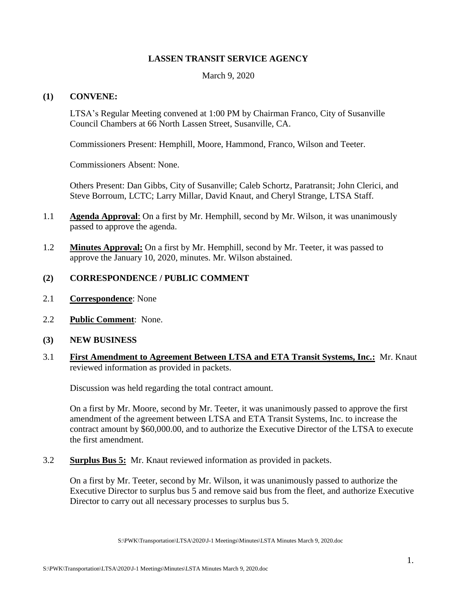# **LASSEN TRANSIT SERVICE AGENCY**

March 9, 2020

#### **(1) CONVENE:**

LTSA's Regular Meeting convened at 1:00 PM by Chairman Franco, City of Susanville Council Chambers at 66 North Lassen Street, Susanville, CA.

Commissioners Present: Hemphill, Moore, Hammond, Franco, Wilson and Teeter.

Commissioners Absent: None.

Others Present: Dan Gibbs, City of Susanville; Caleb Schortz, Paratransit; John Clerici, and Steve Borroum, LCTC; Larry Millar, David Knaut, and Cheryl Strange, LTSA Staff.

- 1.1 **Agenda Approval**: On a first by Mr. Hemphill, second by Mr. Wilson, it was unanimously passed to approve the agenda.
- 1.2 **Minutes Approval:** On a first by Mr. Hemphill, second by Mr. Teeter, it was passed to approve the January 10, 2020, minutes. Mr. Wilson abstained.

# **(2) CORRESPONDENCE / PUBLIC COMMENT**

- 2.1 **Correspondence**: None
- 2.2 **Public Comment**: None.
- **(3) NEW BUSINESS**
- 3.1 **First Amendment to Agreement Between LTSA and ETA Transit Systems, Inc.:** Mr. Knaut reviewed information as provided in packets.

Discussion was held regarding the total contract amount.

On a first by Mr. Moore, second by Mr. Teeter, it was unanimously passed to approve the first amendment of the agreement between LTSA and ETA Transit Systems, Inc. to increase the contract amount by \$60,000.00, and to authorize the Executive Director of the LTSA to execute the first amendment.

3.2 **Surplus Bus 5:** Mr. Knaut reviewed information as provided in packets.

On a first by Mr. Teeter, second by Mr. Wilson, it was unanimously passed to authorize the Executive Director to surplus bus 5 and remove said bus from the fleet, and authorize Executive Director to carry out all necessary processes to surplus bus 5.